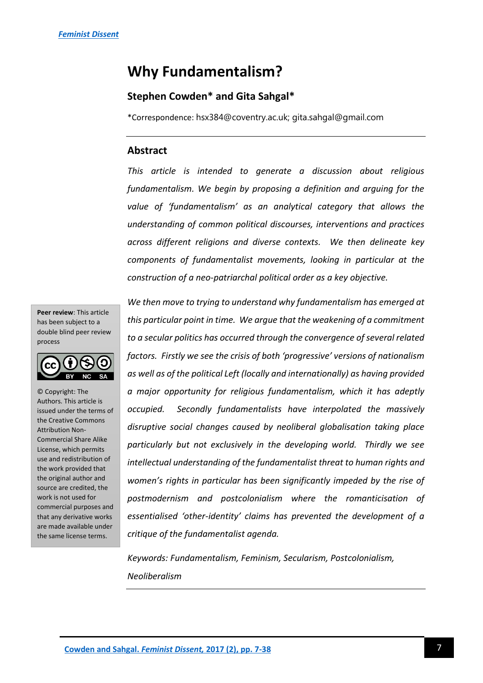# **Why Fundamentalism?**

# **Stephen Cowden\* and Gita Sahgal\***

\*Correspondence: hsx384@coventry.ac.uk; gita.sahgal@gmail.com

### **Abstract**

*This article is intended to generate a discussion about religious fundamentalism. We begin by proposing a definition and arguing for the value of 'fundamentalism' as an analytical category that allows the understanding of common political discourses, interventions and practices across different religions and diverse contexts. We then delineate key components of fundamentalist movements, looking in particular at the construction of a neo-patriarchal political order as a key objective.* 

**Peer review**: This article has been subject to a double blind peer review process



© Copyright: The Authors. This article is issued under the terms of the Creative Commons Attribution Non-Commercial Share Alike License, which permits use and redistribution of the work provided that the original author and source are credited, the work is not used for commercial purposes and that any derivative works are made available under the same license terms.

*We then move to trying to understand why fundamentalism has emerged at this particular point in time. We argue that the weakening of a commitment to a secular politics has occurred through the convergence of several related factors. Firstly we see the crisis of both 'progressive' versions of nationalism as well as of the political Left (locally and internationally) as having provided a major opportunity for religious fundamentalism, which it has adeptly occupied. Secondly fundamentalists have interpolated the massively disruptive social changes caused by neoliberal globalisation taking place particularly but not exclusively in the developing world. Thirdly we see intellectual understanding of the fundamentalist threat to human rights and women's rights in particular has been significantly impeded by the rise of postmodernism and postcolonialism where the romanticisation of essentialised 'other-identity' claims has prevented the development of a critique of the fundamentalist agenda.*

*Keywords: Fundamentalism, Feminism, Secularism, Postcolonialism, Neoliberalism*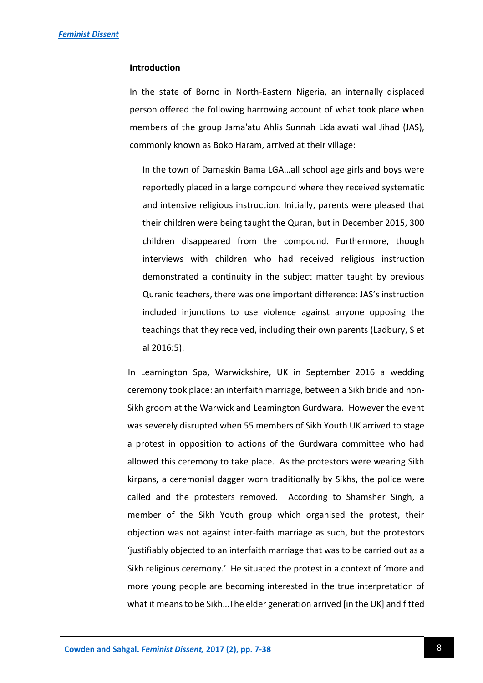#### **Introduction**

In the state of Borno in North-Eastern Nigeria, an internally displaced person offered the following harrowing account of what took place when members of the group Jama'atu Ahlis Sunnah Lida'awati wal Jihad (JAS), commonly known as Boko Haram, arrived at their village:

In the town of Damaskin Bama LGA…all school age girls and boys were reportedly placed in a large compound where they received systematic and intensive religious instruction. Initially, parents were pleased that their children were being taught the Quran, but in December 2015, 300 children disappeared from the compound. Furthermore, though interviews with children who had received religious instruction demonstrated a continuity in the subject matter taught by previous Quranic teachers, there was one important difference: JAS's instruction included injunctions to use violence against anyone opposing the teachings that they received, including their own parents (Ladbury, S et al 2016:5).

 In Leamington Spa, Warwickshire, UK in September 2016 a wedding ceremony took place: an interfaith marriage, between a Sikh bride and non-Sikh groom at the Warwick and Leamington Gurdwara. However the event was severely disrupted when 55 members of Sikh Youth UK arrived to stage a protest in opposition to actions of the Gurdwara committee who had allowed this ceremony to take place. As the protestors were wearing Sikh kirpans, a ceremonial dagger worn traditionally by Sikhs, the police were called and the protesters removed. According to Shamsher Singh, a member of the Sikh Youth group which organised the protest, their objection was not against inter-faith marriage as such, but the protestors 'justifiably objected to an interfaith marriage that was to be carried out as a Sikh religious ceremony.' He situated the protest in a context of 'more and more young people are becoming interested in the true interpretation of what it means to be Sikh…The elder generation arrived [in the UK] and fitted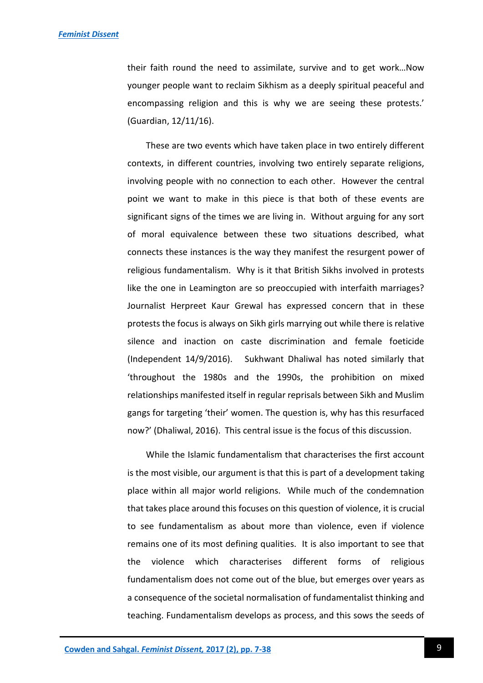their faith round the need to assimilate, survive and to get work…Now younger people want to reclaim Sikhism as a deeply spiritual peaceful and encompassing religion and this is why we are seeing these protests.' (Guardian, 12/11/16).

These are two events which have taken place in two entirely different contexts, in different countries, involving two entirely separate religions, involving people with no connection to each other. However the central point we want to make in this piece is that both of these events are significant signs of the times we are living in. Without arguing for any sort of moral equivalence between these two situations described, what connects these instances is the way they manifest the resurgent power of religious fundamentalism. Why is it that British Sikhs involved in protests like the one in Leamington are so preoccupied with interfaith marriages? Journalist Herpreet Kaur Grewal has expressed concern that in these protests the focus is always on Sikh girls marrying out while there is relative silence and inaction on caste discrimination and female foeticide (Independent 14/9/2016). Sukhwant Dhaliwal has noted similarly that 'throughout the 1980s and the 1990s, the prohibition on mixed relationships manifested itself in regular reprisals between Sikh and Muslim gangs for targeting 'their' women. The question is, why has this resurfaced now?' (Dhaliwal, 2016). This central issue is the focus of this discussion.

While the Islamic fundamentalism that characterises the first account is the most visible, our argument is that this is part of a development taking place within all major world religions. While much of the condemnation that takes place around this focuses on this question of violence, it is crucial to see fundamentalism as about more than violence, even if violence remains one of its most defining qualities. It is also important to see that the violence which characterises different forms of religious fundamentalism does not come out of the blue, but emerges over years as a consequence of the societal normalisation of fundamentalist thinking and teaching. Fundamentalism develops as process, and this sows the seeds of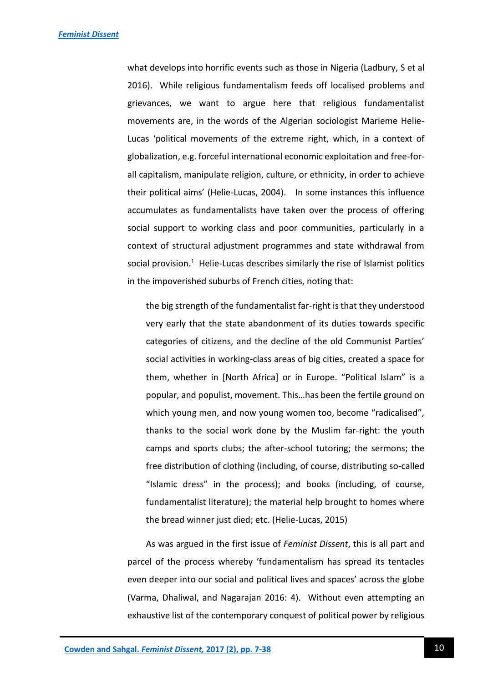what develops into horrific events such as those in Nigeria (Ladbury, S et al 2016). While religious fundamentalism feeds off localised problems and grievances, we want to argue here that religious fundamentalist movements are, in the words of the Algerian sociologist Marieme Helie-Lucas 'political movements of the extreme right, which, in a context of globalization, e.g. forceful international economic exploitation and free-forall capitalism, manipulate religion, culture, or ethnicity, in order to achieve their political aims' (Helie-Lucas, 2004). In some instances this influence accumulates as fundamentalists have taken over the process of offering social support to working class and poor communities, particularly in a context of structural adjustment programmes and state withdrawal from social provision.<sup>1</sup> Helie-Lucas describes similarly the rise of Islamist politics in the impoverished suburbs of French cities, noting that:

the big strength of the fundamentalist far-right is that they understood very early that the state abandonment of its duties towards specific categories of citizens, and the decline of the old Communist Parties' social activities in working-class areas of big cities, created a space for them, whether in [North Africa] or in Europe. "Political Islam" is a popular, and populist, movement. This…has been the fertile ground on which young men, and now young women too, become "radicalised", thanks to the social work done by the Muslim far-right: the youth camps and sports clubs; the after-school tutoring; the sermons; the free distribution of clothing (including, of course, distributing so-called "Islamic dress" in the process); and books (including, of course, fundamentalist literature); the material help brought to homes where the bread winner just died; etc. (Helie-Lucas, 2015)

As was argued in the first issue of *Feminist Dissent*, this is all part and parcel of the process whereby 'fundamentalism has spread its tentacles even deeper into our social and political lives and spaces' across the globe (Varma, Dhaliwal, and Nagarajan 2016: 4). Without even attempting an exhaustive list of the contemporary conquest of political power by religious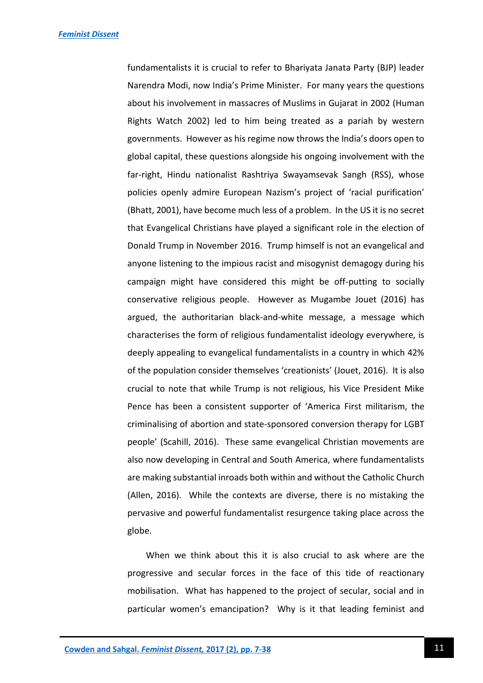fundamentalists it is crucial to refer to Bhariyata Janata Party (BJP) leader Narendra Modi, now India's Prime Minister. For many years the questions about his involvement in massacres of Muslims in Gujarat in 2002 (Human Rights Watch 2002) led to him being treated as a pariah by western governments. However as his regime now throws the India's doors open to global capital, these questions alongside his ongoing involvement with the far-right, Hindu nationalist Rashtriya Swayamsevak Sangh (RSS), whose policies openly admire European Nazism's project of 'racial purification' (Bhatt, 2001), have become much less of a problem. In the US it is no secret that Evangelical Christians have played a significant role in the election of Donald Trump in November 2016. Trump himself is not an evangelical and anyone listening to the impious racist and misogynist demagogy during his campaign might have considered this might be off-putting to socially conservative religious people. However as Mugambe Jouet (2016) has argued, the authoritarian black-and-white message, a message which characterises the form of religious fundamentalist ideology everywhere, is deeply appealing to evangelical fundamentalists in a country in which 42% of the population consider themselves 'creationists' (Jouet, 2016). It is also crucial to note that while Trump is not religious, his Vice President Mike Pence has been a consistent supporter of 'America First militarism, the criminalising of abortion and state-sponsored conversion therapy for LGBT people' (Scahill, 2016). These same evangelical Christian movements are also now developing in Central and South America, where fundamentalists are making substantial inroads both within and without the Catholic Church (Allen, 2016). While the contexts are diverse, there is no mistaking the pervasive and powerful fundamentalist resurgence taking place across the globe.

When we think about this it is also crucial to ask where are the progressive and secular forces in the face of this tide of reactionary mobilisation. What has happened to the project of secular, social and in particular women's emancipation? Why is it that leading feminist and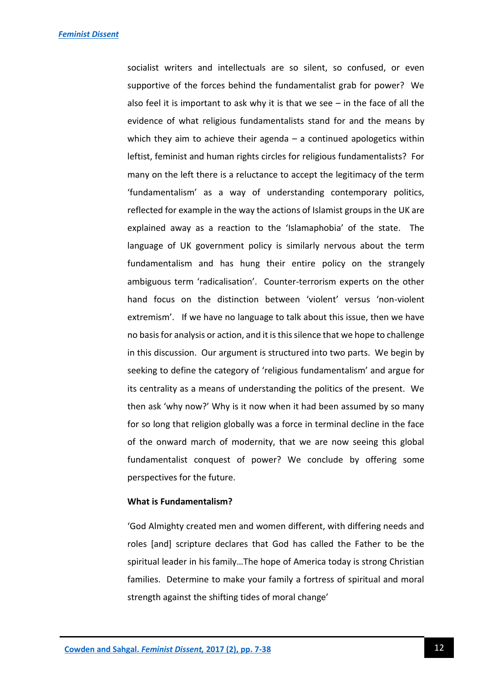socialist writers and intellectuals are so silent, so confused, or even supportive of the forces behind the fundamentalist grab for power? We also feel it is important to ask why it is that we see – in the face of all the evidence of what religious fundamentalists stand for and the means by which they aim to achieve their agenda  $-$  a continued apologetics within leftist, feminist and human rights circles for religious fundamentalists? For many on the left there is a reluctance to accept the legitimacy of the term 'fundamentalism' as a way of understanding contemporary politics, reflected for example in the way the actions of Islamist groups in the UK are explained away as a reaction to the 'Islamaphobia' of the state. The language of UK government policy is similarly nervous about the term fundamentalism and has hung their entire policy on the strangely ambiguous term 'radicalisation'. Counter-terrorism experts on the other hand focus on the distinction between 'violent' versus 'non-violent extremism'. If we have no language to talk about this issue, then we have no basis for analysis or action, and it is this silence that we hope to challenge in this discussion. Our argument is structured into two parts. We begin by seeking to define the category of 'religious fundamentalism' and argue for its centrality as a means of understanding the politics of the present. We then ask 'why now?' Why is it now when it had been assumed by so many for so long that religion globally was a force in terminal decline in the face of the onward march of modernity, that we are now seeing this global fundamentalist conquest of power? We conclude by offering some perspectives for the future.

## **What is Fundamentalism?**

'God Almighty created men and women different, with differing needs and roles [and] scripture declares that God has called the Father to be the spiritual leader in his family…The hope of America today is strong Christian families. Determine to make your family a fortress of spiritual and moral strength against the shifting tides of moral change'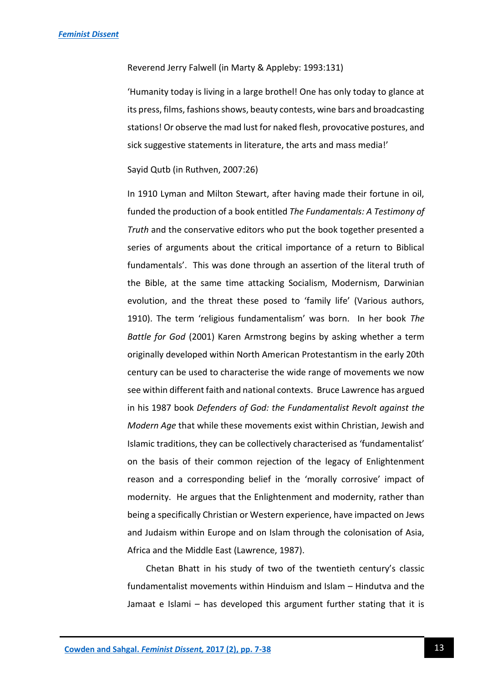#### Reverend Jerry Falwell (in Marty & Appleby: 1993:131)

'Humanity today is living in a large brothel! One has only today to glance at its press, films, fashions shows, beauty contests, wine bars and broadcasting stations! Or observe the mad lust for naked flesh, provocative postures, and sick suggestive statements in literature, the arts and mass media!'

#### Sayid Qutb (in Ruthven, 2007:26)

In 1910 Lyman and Milton Stewart, after having made their fortune in oil, funded the production of a book entitled *The Fundamentals: A Testimony of Truth* and the conservative editors who put the book together presented a series of arguments about the critical importance of a return to Biblical fundamentals'. This was done through an assertion of the literal truth of the Bible, at the same time attacking Socialism, Modernism, Darwinian evolution, and the threat these posed to 'family life' (Various authors, 1910). The term 'religious fundamentalism' was born. In her book *The Battle for God* (2001) Karen Armstrong begins by asking whether a term originally developed within North American Protestantism in the early 20th century can be used to characterise the wide range of movements we now see within different faith and national contexts. Bruce Lawrence has argued in his 1987 book *Defenders of God: the Fundamentalist Revolt against the Modern Age* that while these movements exist within Christian, Jewish and Islamic traditions, they can be collectively characterised as 'fundamentalist' on the basis of their common rejection of the legacy of Enlightenment reason and a corresponding belief in the 'morally corrosive' impact of modernity. He argues that the Enlightenment and modernity, rather than being a specifically Christian or Western experience, have impacted on Jews and Judaism within Europe and on Islam through the colonisation of Asia, Africa and the Middle East (Lawrence, 1987).

Chetan Bhatt in his study of two of the twentieth century's classic fundamentalist movements within Hinduism and Islam – Hindutva and the Jamaat e Islami – has developed this argument further stating that it is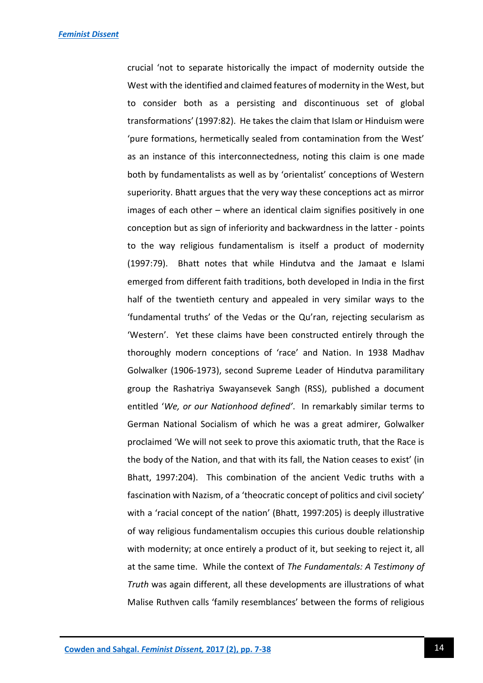crucial 'not to separate historically the impact of modernity outside the West with the identified and claimed features of modernity in the West, but to consider both as a persisting and discontinuous set of global transformations' (1997:82). He takes the claim that Islam or Hinduism were 'pure formations, hermetically sealed from contamination from the West' as an instance of this interconnectedness, noting this claim is one made both by fundamentalists as well as by 'orientalist' conceptions of Western superiority. Bhatt argues that the very way these conceptions act as mirror images of each other – where an identical claim signifies positively in one conception but as sign of inferiority and backwardness in the latter - points to the way religious fundamentalism is itself a product of modernity (1997:79). Bhatt notes that while Hindutva and the Jamaat e Islami emerged from different faith traditions, both developed in India in the first half of the twentieth century and appealed in very similar ways to the 'fundamental truths' of the Vedas or the Qu'ran, rejecting secularism as 'Western'. Yet these claims have been constructed entirely through the thoroughly modern conceptions of 'race' and Nation. In 1938 Madhav Golwalker (1906-1973), second Supreme Leader of Hindutva paramilitary group the Rashatriya Swayansevek Sangh (RSS), published a document entitled '*We, or our Nationhood defined'*. In remarkably similar terms to German National Socialism of which he was a great admirer, Golwalker proclaimed 'We will not seek to prove this axiomatic truth, that the Race is the body of the Nation, and that with its fall, the Nation ceases to exist' (in Bhatt, 1997:204). This combination of the ancient Vedic truths with a fascination with Nazism, of a 'theocratic concept of politics and civil society' with a 'racial concept of the nation' (Bhatt, 1997:205) is deeply illustrative of way religious fundamentalism occupies this curious double relationship with modernity; at once entirely a product of it, but seeking to reject it, all at the same time. While the context of *The Fundamentals: A Testimony of Truth* was again different, all these developments are illustrations of what Malise Ruthven calls 'family resemblances' between the forms of religious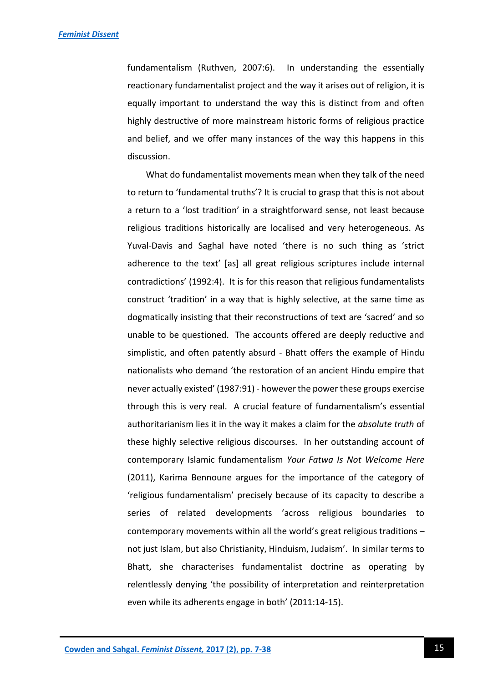fundamentalism (Ruthven, 2007:6). In understanding the essentially reactionary fundamentalist project and the way it arises out of religion, it is equally important to understand the way this is distinct from and often highly destructive of more mainstream historic forms of religious practice and belief, and we offer many instances of the way this happens in this discussion.

What do fundamentalist movements mean when they talk of the need to return to 'fundamental truths'? It is crucial to grasp that this is not about a return to a 'lost tradition' in a straightforward sense, not least because religious traditions historically are localised and very heterogeneous. As Yuval-Davis and Saghal have noted 'there is no such thing as 'strict adherence to the text' [as] all great religious scriptures include internal contradictions' (1992:4). It is for this reason that religious fundamentalists construct 'tradition' in a way that is highly selective, at the same time as dogmatically insisting that their reconstructions of text are 'sacred' and so unable to be questioned. The accounts offered are deeply reductive and simplistic, and often patently absurd - Bhatt offers the example of Hindu nationalists who demand 'the restoration of an ancient Hindu empire that never actually existed' (1987:91) - however the power these groups exercise through this is very real. A crucial feature of fundamentalism's essential authoritarianism lies it in the way it makes a claim for the *absolute truth* of these highly selective religious discourses. In her outstanding account of contemporary Islamic fundamentalism *Your Fatwa Is Not Welcome Here*  (2011), Karima Bennoune argues for the importance of the category of 'religious fundamentalism' precisely because of its capacity to describe a series of related developments 'across religious boundaries to contemporary movements within all the world's great religious traditions – not just Islam, but also Christianity, Hinduism, Judaism'. In similar terms to Bhatt, she characterises fundamentalist doctrine as operating by relentlessly denying 'the possibility of interpretation and reinterpretation even while its adherents engage in both' (2011:14-15).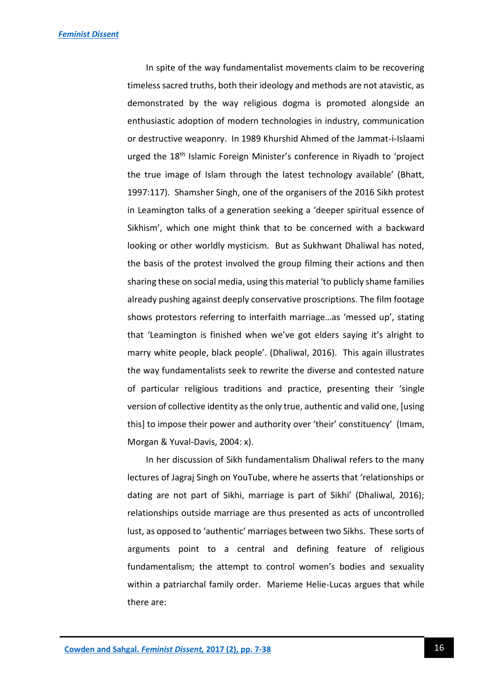In spite of the way fundamentalist movements claim to be recovering timeless sacred truths, both their ideology and methods are not atavistic, as demonstrated by the way religious dogma is promoted alongside an enthusiastic adoption of modern technologies in industry, communication or destructive weaponry. In 1989 Khurshid Ahmed of the Jammat-i-Islaami urged the 18<sup>th</sup> Islamic Foreign Minister's conference in Riyadh to 'project the true image of Islam through the latest technology available' (Bhatt, 1997:117). Shamsher Singh, one of the organisers of the 2016 Sikh protest in Leamington talks of a generation seeking a 'deeper spiritual essence of Sikhism', which one might think that to be concerned with a backward looking or other worldly mysticism. But as Sukhwant Dhaliwal has noted, the basis of the protest involved the group filming their actions and then sharing these on social media, using this material 'to publicly shame families already pushing against deeply conservative proscriptions. The film footage shows protestors referring to interfaith marriage…as 'messed up', stating that 'Leamington is finished when we've got elders saying it's alright to marry white people, black people'. (Dhaliwal, 2016). This again illustrates the way fundamentalists seek to rewrite the diverse and contested nature of particular religious traditions and practice, presenting their 'single version of collective identity as the only true, authentic and valid one, [using this] to impose their power and authority over 'their' constituency' (Imam, Morgan & Yuval-Davis, 2004: x).

In her discussion of Sikh fundamentalism Dhaliwal refers to the many lectures of Jagraj Singh on YouTube, where he asserts that 'relationships or dating are not part of Sikhi, marriage is part of Sikhi' (Dhaliwal, 2016); relationships outside marriage are thus presented as acts of uncontrolled lust, as opposed to 'authentic' marriages between two Sikhs. These sorts of arguments point to a central and defining feature of religious fundamentalism; the attempt to control women's bodies and sexuality within a patriarchal family order. Marieme Helie-Lucas argues that while there are: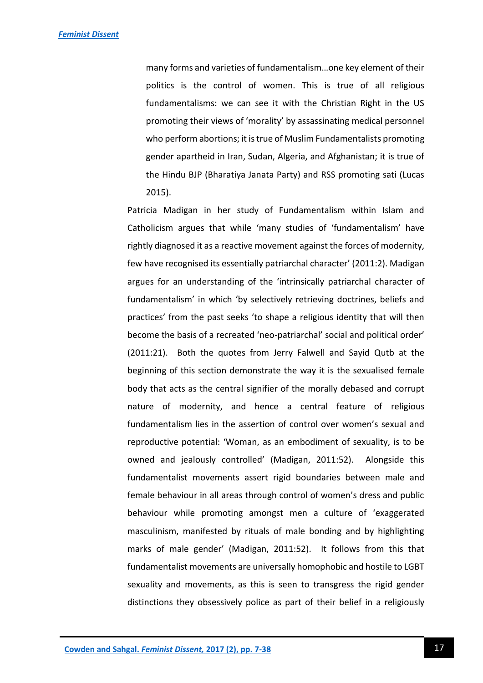many forms and varieties of fundamentalism…one key element of their politics is the control of women. This is true of all religious fundamentalisms: we can see it with the Christian Right in the US promoting their views of 'morality' by assassinating medical personnel who perform abortions; it is true of Muslim Fundamentalists promoting gender apartheid in Iran, Sudan, Algeria, and Afghanistan; it is true of the Hindu BJP (Bharatiya Janata Party) and RSS promoting sati (Lucas 2015).

Patricia Madigan in her study of Fundamentalism within Islam and Catholicism argues that while 'many studies of 'fundamentalism' have rightly diagnosed it as a reactive movement against the forces of modernity, few have recognised its essentially patriarchal character' (2011:2). Madigan argues for an understanding of the 'intrinsically patriarchal character of fundamentalism' in which 'by selectively retrieving doctrines, beliefs and practices' from the past seeks 'to shape a religious identity that will then become the basis of a recreated 'neo-patriarchal' social and political order' (2011:21). Both the quotes from Jerry Falwell and Sayid Qutb at the beginning of this section demonstrate the way it is the sexualised female body that acts as the central signifier of the morally debased and corrupt nature of modernity, and hence a central feature of religious fundamentalism lies in the assertion of control over women's sexual and reproductive potential: 'Woman, as an embodiment of sexuality, is to be owned and jealously controlled' (Madigan, 2011:52). Alongside this fundamentalist movements assert rigid boundaries between male and female behaviour in all areas through control of women's dress and public behaviour while promoting amongst men a culture of 'exaggerated masculinism, manifested by rituals of male bonding and by highlighting marks of male gender' (Madigan, 2011:52). It follows from this that fundamentalist movements are universally homophobic and hostile to LGBT sexuality and movements, as this is seen to transgress the rigid gender distinctions they obsessively police as part of their belief in a religiously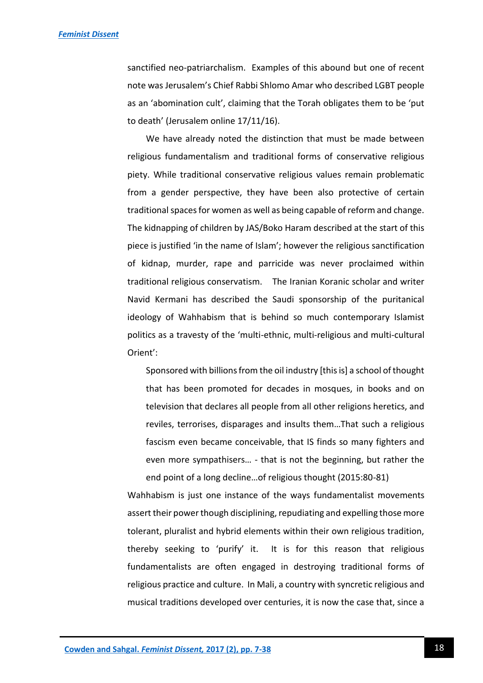sanctified neo-patriarchalism. Examples of this abound but one of recent note was Jerusalem's Chief Rabbi Shlomo Amar who described LGBT people as an 'abomination cult', claiming that the Torah obligates them to be 'put to death' (Jerusalem online 17/11/16).

We have already noted the distinction that must be made between religious fundamentalism and traditional forms of conservative religious piety. While traditional conservative religious values remain problematic from a gender perspective, they have been also protective of certain traditional spaces for women as well as being capable of reform and change. The kidnapping of children by JAS/Boko Haram described at the start of this piece is justified 'in the name of Islam'; however the religious sanctification of kidnap, murder, rape and parricide was never proclaimed within traditional religious conservatism. The Iranian Koranic scholar and writer Navid Kermani has described the Saudi sponsorship of the puritanical ideology of Wahhabism that is behind so much contemporary Islamist politics as a travesty of the 'multi-ethnic, multi-religious and multi-cultural Orient':

Sponsored with billions from the oil industry [this is] a school of thought that has been promoted for decades in mosques, in books and on television that declares all people from all other religions heretics, and reviles, terrorises, disparages and insults them…That such a religious fascism even became conceivable, that IS finds so many fighters and even more sympathisers… - that is not the beginning, but rather the end point of a long decline…of religious thought (2015:80-81)

Wahhabism is just one instance of the ways fundamentalist movements assert their power though disciplining, repudiating and expelling those more tolerant, pluralist and hybrid elements within their own religious tradition, thereby seeking to 'purify' it. It is for this reason that religious fundamentalists are often engaged in destroying traditional forms of religious practice and culture. In Mali, a country with syncretic religious and musical traditions developed over centuries, it is now the case that, since a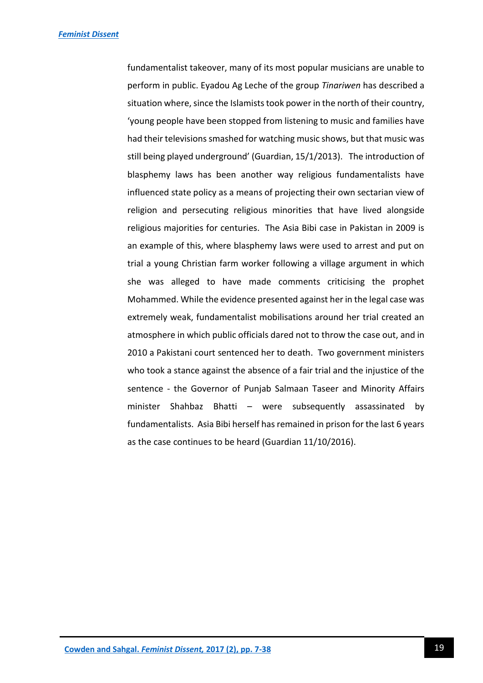fundamentalist takeover, many of its most popular musicians are unable to perform in public. Eyadou Ag Leche of the group *Tinariwen* has described a situation where, since the Islamists took power in the north of their country, 'young people have been stopped from listening to music and families have had their televisions smashed for watching music shows, but that music was still being played underground' (Guardian, 15/1/2013). The introduction of blasphemy laws has been another way religious fundamentalists have influenced state policy as a means of projecting their own sectarian view of religion and persecuting religious minorities that have lived alongside religious majorities for centuries. The Asia Bibi case in Pakistan in 2009 is an example of this, where blasphemy laws were used to arrest and put on trial a young Christian farm worker following a village argument in which she was alleged to have made comments criticising the prophet Mohammed. While the evidence presented against her in the legal case was extremely weak, fundamentalist mobilisations around her trial created an atmosphere in which public officials dared not to throw the case out, and in 2010 a Pakistani court sentenced her to death. Two government ministers who took a stance against the absence of a fair trial and the injustice of the sentence - the Governor of Punjab Salmaan Taseer and Minority Affairs minister Shahbaz Bhatti – were subsequently assassinated by fundamentalists. Asia Bibi herself has remained in prison for the last 6 years as the case continues to be heard (Guardian 11/10/2016).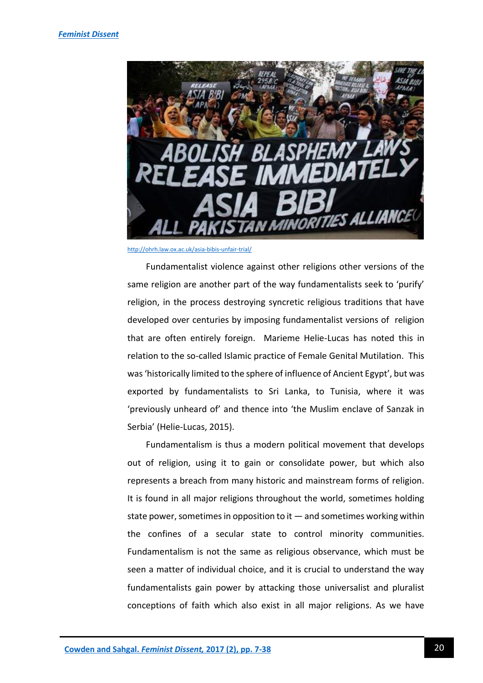

<http://ohrh.law.ox.ac.uk/asia-bibis-unfair-trial/>

Fundamentalist violence against other religions other versions of the same religion are another part of the way fundamentalists seek to 'purify' religion, in the process destroying syncretic religious traditions that have developed over centuries by imposing fundamentalist versions of religion that are often entirely foreign. Marieme Helie-Lucas has noted this in relation to the so-called Islamic practice of Female Genital Mutilation. This was 'historically limited to the sphere of influence of Ancient Egypt', but was exported by fundamentalists to Sri Lanka, to Tunisia, where it was 'previously unheard of' and thence into 'the Muslim enclave of Sanzak in Serbia' (Helie-Lucas, 2015).

Fundamentalism is thus a modern political movement that develops out of religion, using it to gain or consolidate power, but which also represents a breach from many historic and mainstream forms of religion. It is found in all major religions throughout the world, sometimes holding state power, sometimes in opposition to it  $-$  and sometimes working within the confines of a secular state to control minority communities. Fundamentalism is not the same as religious observance, which must be seen a matter of individual choice, and it is crucial to understand the way fundamentalists gain power by attacking those universalist and pluralist conceptions of faith which also exist in all major religions. As we have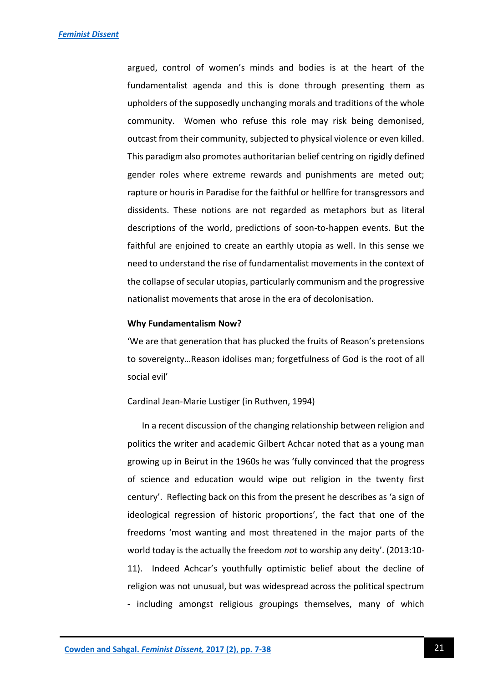argued, control of women's minds and bodies is at the heart of the fundamentalist agenda and this is done through presenting them as upholders of the supposedly unchanging morals and traditions of the whole community. Women who refuse this role may risk being demonised, outcast from their community, subjected to physical violence or even killed. This paradigm also promotes authoritarian belief centring on rigidly defined gender roles where extreme rewards and punishments are meted out; rapture or houris in Paradise for the faithful or hellfire for transgressors and dissidents. These notions are not regarded as metaphors but as literal descriptions of the world, predictions of soon-to-happen events. But the faithful are enjoined to create an earthly utopia as well. In this sense we need to understand the rise of fundamentalist movements in the context of the collapse of secular utopias, particularly communism and the progressive nationalist movements that arose in the era of decolonisation.

#### **Why Fundamentalism Now?**

'We are that generation that has plucked the fruits of Reason's pretensions to sovereignty…Reason idolises man; forgetfulness of God is the root of all social evil'

Cardinal Jean-Marie Lustiger (in Ruthven, 1994)

In a recent discussion of the changing relationship between religion and politics the writer and academic Gilbert Achcar noted that as a young man growing up in Beirut in the 1960s he was 'fully convinced that the progress of science and education would wipe out religion in the twenty first century'. Reflecting back on this from the present he describes as 'a sign of ideological regression of historic proportions', the fact that one of the freedoms 'most wanting and most threatened in the major parts of the world today is the actually the freedom *not* to worship any deity'. (2013:10- 11). Indeed Achcar's youthfully optimistic belief about the decline of religion was not unusual, but was widespread across the political spectrum - including amongst religious groupings themselves, many of which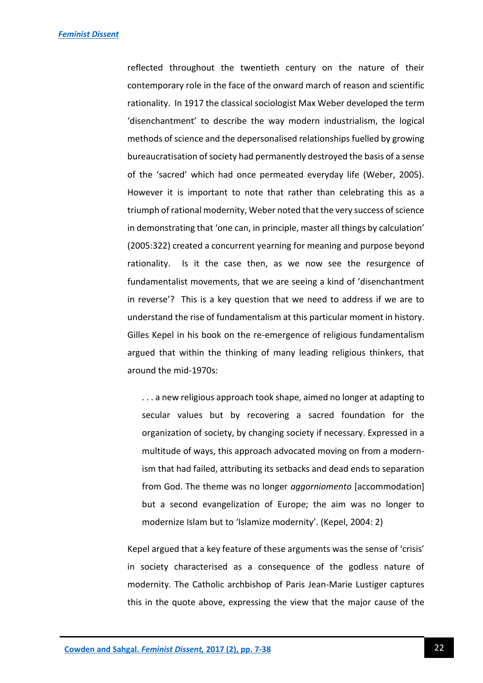reflected throughout the twentieth century on the nature of their contemporary role in the face of the onward march of reason and scientific rationality. In 1917 the classical sociologist Max Weber developed the term 'disenchantment' to describe the way modern industrialism, the logical methods of science and the depersonalised relationships fuelled by growing bureaucratisation of society had permanently destroyed the basis of a sense of the 'sacred' which had once permeated everyday life (Weber, 2005). However it is important to note that rather than celebrating this as a triumph of rational modernity, Weber noted that the very success of science in demonstrating that 'one can, in principle, master all things by calculation' (2005:322) created a concurrent yearning for meaning and purpose beyond rationality. Is it the case then, as we now see the resurgence of fundamentalist movements, that we are seeing a kind of 'disenchantment in reverse'? This is a key question that we need to address if we are to understand the rise of fundamentalism at this particular moment in history. Gilles Kepel in his book on the re-emergence of religious fundamentalism argued that within the thinking of many leading religious thinkers, that around the mid-1970s:

. . . a new religious approach took shape, aimed no longer at adapting to secular values but by recovering a sacred foundation for the organization of society, by changing society if necessary. Expressed in a multitude of ways, this approach advocated moving on from a modernism that had failed, attributing its setbacks and dead ends to separation from God. The theme was no longer *aggorniomento* [accommodation] but a second evangelization of Europe; the aim was no longer to modernize Islam but to 'Islamize modernity'. (Kepel, 2004: 2)

Kepel argued that a key feature of these arguments was the sense of 'crisis' in society characterised as a consequence of the godless nature of modernity. The Catholic archbishop of Paris Jean-Marie Lustiger captures this in the quote above, expressing the view that the major cause of the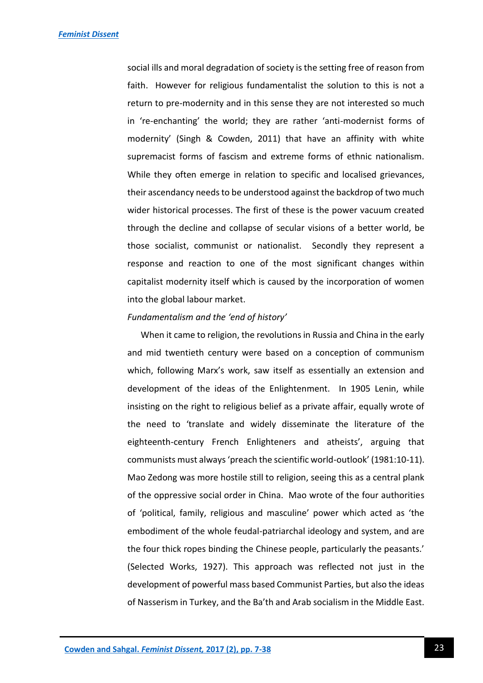social ills and moral degradation of society is the setting free of reason from faith. However for religious fundamentalist the solution to this is not a return to pre-modernity and in this sense they are not interested so much in 're-enchanting' the world; they are rather 'anti-modernist forms of modernity' (Singh & Cowden, 2011) that have an affinity with white supremacist forms of fascism and extreme forms of ethnic nationalism. While they often emerge in relation to specific and localised grievances, their ascendancy needs to be understood against the backdrop of two much wider historical processes. The first of these is the power vacuum created through the decline and collapse of secular visions of a better world, be those socialist, communist or nationalist. Secondly they represent a response and reaction to one of the most significant changes within capitalist modernity itself which is caused by the incorporation of women into the global labour market.

#### *Fundamentalism and the 'end of history'*

 When it came to religion, the revolutions in Russia and China in the early and mid twentieth century were based on a conception of communism which, following Marx's work, saw itself as essentially an extension and development of the ideas of the Enlightenment. In 1905 Lenin, while insisting on the right to religious belief as a private affair, equally wrote of the need to 'translate and widely disseminate the literature of the eighteenth-century French Enlighteners and atheists', arguing that communists must always 'preach the scientific world-outlook' (1981:10-11). Mao Zedong was more hostile still to religion, seeing this as a central plank of the oppressive social order in China. Mao wrote of the four authorities of 'political, family, religious and masculine' power which acted as 'the embodiment of the whole feudal-patriarchal ideology and system, and are the four thick ropes binding the Chinese people, particularly the peasants.' (Selected Works, 1927). This approach was reflected not just in the development of powerful mass based Communist Parties, but also the ideas of Nasserism in Turkey, and the Ba'th and Arab socialism in the Middle East.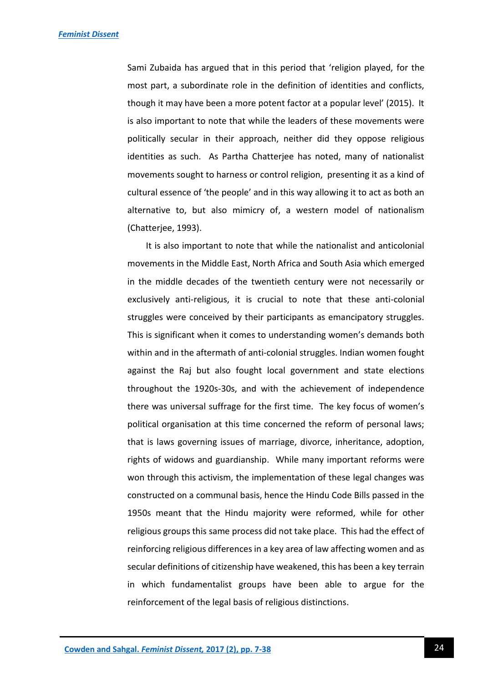Sami Zubaida has argued that in this period that 'religion played, for the most part, a subordinate role in the definition of identities and conflicts, though it may have been a more potent factor at a popular level' (2015). It is also important to note that while the leaders of these movements were politically secular in their approach, neither did they oppose religious identities as such. As Partha Chatterjee has noted, many of nationalist movements sought to harness or control religion, presenting it as a kind of cultural essence of 'the people' and in this way allowing it to act as both an alternative to, but also mimicry of, a western model of nationalism (Chatterjee, 1993).

It is also important to note that while the nationalist and anticolonial movements in the Middle East, North Africa and South Asia which emerged in the middle decades of the twentieth century were not necessarily or exclusively anti-religious, it is crucial to note that these anti-colonial struggles were conceived by their participants as emancipatory struggles. This is significant when it comes to understanding women's demands both within and in the aftermath of anti-colonial struggles. Indian women fought against the Raj but also fought local government and state elections throughout the 1920s-30s, and with the achievement of independence there was universal suffrage for the first time. The key focus of women's political organisation at this time concerned the reform of personal laws; that is laws governing issues of marriage, divorce, inheritance, adoption, rights of widows and guardianship. While many important reforms were won through this activism, the implementation of these legal changes was constructed on a communal basis, hence the Hindu Code Bills passed in the 1950s meant that the Hindu majority were reformed, while for other religious groups this same process did not take place. This had the effect of reinforcing religious differences in a key area of law affecting women and as secular definitions of citizenship have weakened, this has been a key terrain in which fundamentalist groups have been able to argue for the reinforcement of the legal basis of religious distinctions.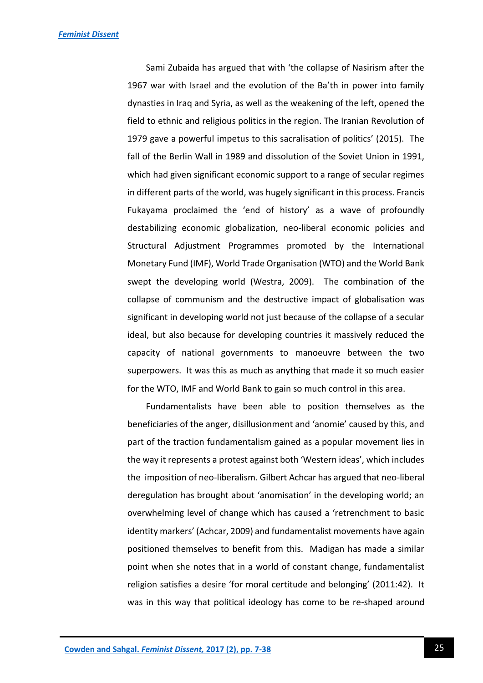Sami Zubaida has argued that with 'the collapse of Nasirism after the 1967 war with Israel and the evolution of the Ba'th in power into family dynasties in Iraq and Syria, as well as the weakening of the left, opened the field to ethnic and religious politics in the region. The Iranian Revolution of 1979 gave a powerful impetus to this sacralisation of politics' (2015). The fall of the Berlin Wall in 1989 and dissolution of the Soviet Union in 1991, which had given significant economic support to a range of secular regimes in different parts of the world, was hugely significant in this process. Francis Fukayama proclaimed the 'end of history' as a wave of profoundly destabilizing economic globalization, neo-liberal economic policies and Structural Adjustment Programmes promoted by the International Monetary Fund (IMF), World Trade Organisation (WTO) and the World Bank swept the developing world (Westra, 2009). The combination of the collapse of communism and the destructive impact of globalisation was significant in developing world not just because of the collapse of a secular ideal, but also because for developing countries it massively reduced the capacity of national governments to manoeuvre between the two superpowers. It was this as much as anything that made it so much easier for the WTO, IMF and World Bank to gain so much control in this area.

Fundamentalists have been able to position themselves as the beneficiaries of the anger, disillusionment and 'anomie' caused by this, and part of the traction fundamentalism gained as a popular movement lies in the way it represents a protest against both 'Western ideas', which includes the imposition of neo-liberalism. Gilbert Achcar has argued that neo-liberal deregulation has brought about 'anomisation' in the developing world; an overwhelming level of change which has caused a 'retrenchment to basic identity markers' (Achcar, 2009) and fundamentalist movements have again positioned themselves to benefit from this. Madigan has made a similar point when she notes that in a world of constant change, fundamentalist religion satisfies a desire 'for moral certitude and belonging' (2011:42). It was in this way that political ideology has come to be re-shaped around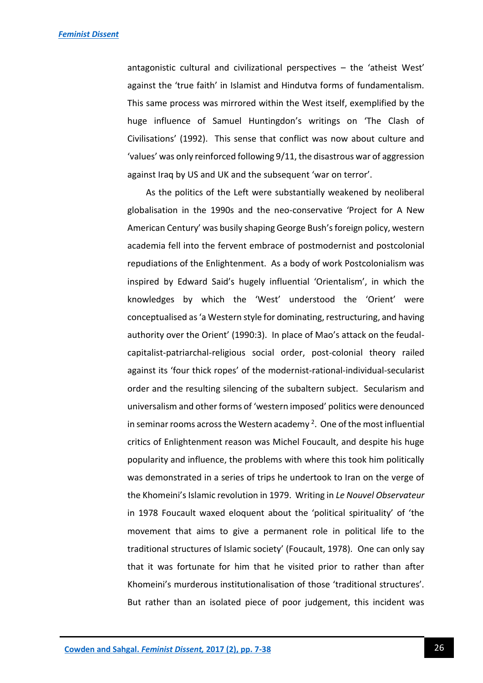antagonistic cultural and civilizational perspectives – the 'atheist West' against the 'true faith' in Islamist and Hindutva forms of fundamentalism. This same process was mirrored within the West itself, exemplified by the huge influence of Samuel Huntingdon's writings on 'The Clash of Civilisations' (1992). This sense that conflict was now about culture and 'values' was only reinforced following 9/11, the disastrous war of aggression against Iraq by US and UK and the subsequent 'war on terror'.

As the politics of the Left were substantially weakened by neoliberal globalisation in the 1990s and the neo-conservative 'Project for A New American Century' was busily shaping George Bush's foreign policy, western academia fell into the fervent embrace of postmodernist and postcolonial repudiations of the Enlightenment. As a body of work Postcolonialism was inspired by Edward Said's hugely influential 'Orientalism', in which the knowledges by which the 'West' understood the 'Orient' were conceptualised as 'a Western style for dominating, restructuring, and having authority over the Orient' (1990:3). In place of Mao's attack on the feudalcapitalist-patriarchal-religious social order, post-colonial theory railed against its 'four thick ropes' of the modernist-rational-individual-secularist order and the resulting silencing of the subaltern subject. Secularism and universalism and other forms of 'western imposed' politics were denounced in seminar rooms across the Western academy<sup>2</sup>. One of the most influential critics of Enlightenment reason was Michel Foucault, and despite his huge popularity and influence, the problems with where this took him politically was demonstrated in a series of trips he undertook to Iran on the verge of the Khomeini's Islamic revolution in 1979. Writing in *Le Nouvel Observateur*  in 1978 Foucault waxed eloquent about the 'political spirituality' of 'the movement that aims to give a permanent role in political life to the traditional structures of Islamic society' (Foucault, 1978). One can only say that it was fortunate for him that he visited prior to rather than after Khomeini's murderous institutionalisation of those 'traditional structures'. But rather than an isolated piece of poor judgement, this incident was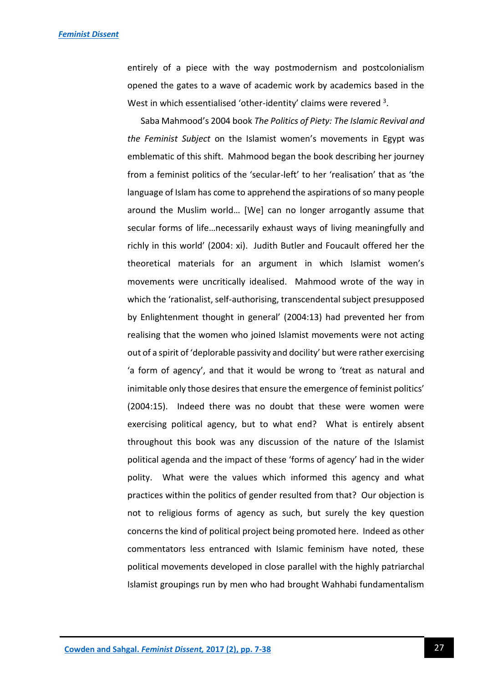entirely of a piece with the way postmodernism and postcolonialism opened the gates to a wave of academic work by academics based in the West in which essentialised 'other-identity' claims were revered  $3$ .

 Saba Mahmood's 2004 book *The Politics of Piety: The Islamic Revival and the Feminist Subject* on the Islamist women's movements in Egypt was emblematic of this shift. Mahmood began the book describing her journey from a feminist politics of the 'secular-left' to her 'realisation' that as 'the language of Islam has come to apprehend the aspirations of so many people around the Muslim world… [We] can no longer arrogantly assume that secular forms of life…necessarily exhaust ways of living meaningfully and richly in this world' (2004: xi). Judith Butler and Foucault offered her the theoretical materials for an argument in which Islamist women's movements were uncritically idealised. Mahmood wrote of the way in which the 'rationalist, self-authorising, transcendental subject presupposed by Enlightenment thought in general' (2004:13) had prevented her from realising that the women who joined Islamist movements were not acting out of a spirit of 'deplorable passivity and docility' but were rather exercising 'a form of agency', and that it would be wrong to 'treat as natural and inimitable only those desires that ensure the emergence of feminist politics' (2004:15). Indeed there was no doubt that these were women were exercising political agency, but to what end? What is entirely absent throughout this book was any discussion of the nature of the Islamist political agenda and the impact of these 'forms of agency' had in the wider polity. What were the values which informed this agency and what practices within the politics of gender resulted from that? Our objection is not to religious forms of agency as such, but surely the key question concerns the kind of political project being promoted here. Indeed as other commentators less entranced with Islamic feminism have noted, these political movements developed in close parallel with the highly patriarchal Islamist groupings run by men who had brought Wahhabi fundamentalism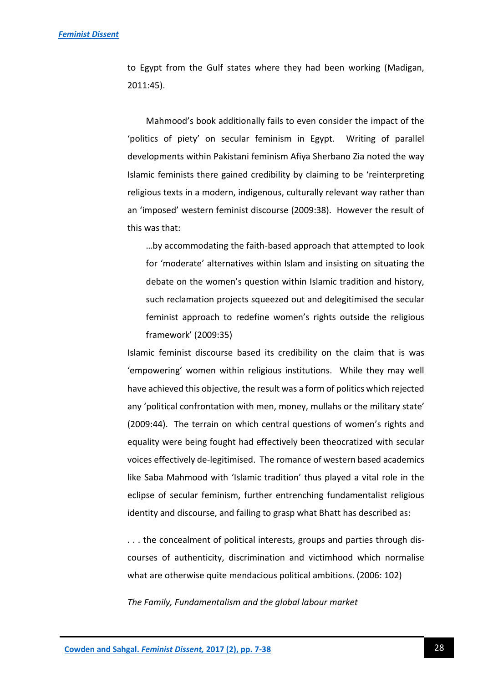to Egypt from the Gulf states where they had been working (Madigan, 2011:45).

Mahmood's book additionally fails to even consider the impact of the 'politics of piety' on secular feminism in Egypt. Writing of parallel developments within Pakistani feminism Afiya Sherbano Zia noted the way Islamic feminists there gained credibility by claiming to be 'reinterpreting religious texts in a modern, indigenous, culturally relevant way rather than an 'imposed' western feminist discourse (2009:38). However the result of this was that:

…by accommodating the faith-based approach that attempted to look for 'moderate' alternatives within Islam and insisting on situating the debate on the women's question within Islamic tradition and history, such reclamation projects squeezed out and delegitimised the secular feminist approach to redefine women's rights outside the religious framework' (2009:35)

Islamic feminist discourse based its credibility on the claim that is was 'empowering' women within religious institutions. While they may well have achieved this objective, the result was a form of politics which rejected any 'political confrontation with men, money, mullahs or the military state' (2009:44). The terrain on which central questions of women's rights and equality were being fought had effectively been theocratized with secular voices effectively de-legitimised. The romance of western based academics like Saba Mahmood with 'Islamic tradition' thus played a vital role in the eclipse of secular feminism, further entrenching fundamentalist religious identity and discourse, and failing to grasp what Bhatt has described as:

. . . the concealment of political interests, groups and parties through discourses of authenticity, discrimination and victimhood which normalise what are otherwise quite mendacious political ambitions. (2006: 102)

*The Family, Fundamentalism and the global labour market*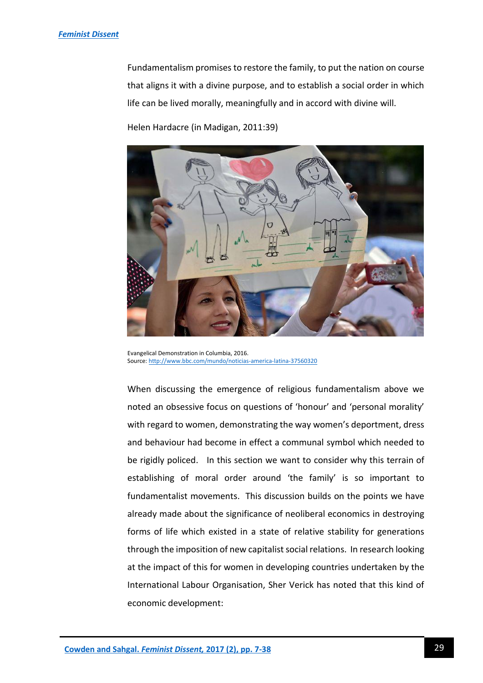Fundamentalism promises to restore the family, to put the nation on course that aligns it with a divine purpose, and to establish a social order in which life can be lived morally, meaningfully and in accord with divine will.

Helen Hardacre (in Madigan, 2011:39)



Evangelical Demonstration in Columbia, 2016. Source[: http://www.bbc.com/mundo/noticias-america-latina-37560320](http://www.bbc.com/mundo/noticias-america-latina-37560320)

When discussing the emergence of religious fundamentalism above we noted an obsessive focus on questions of 'honour' and 'personal morality' with regard to women, demonstrating the way women's deportment, dress and behaviour had become in effect a communal symbol which needed to be rigidly policed. In this section we want to consider why this terrain of establishing of moral order around 'the family' is so important to fundamentalist movements. This discussion builds on the points we have already made about the significance of neoliberal economics in destroying forms of life which existed in a state of relative stability for generations through the imposition of new capitalist social relations. In research looking at the impact of this for women in developing countries undertaken by the International Labour Organisation, Sher Verick has noted that this kind of economic development: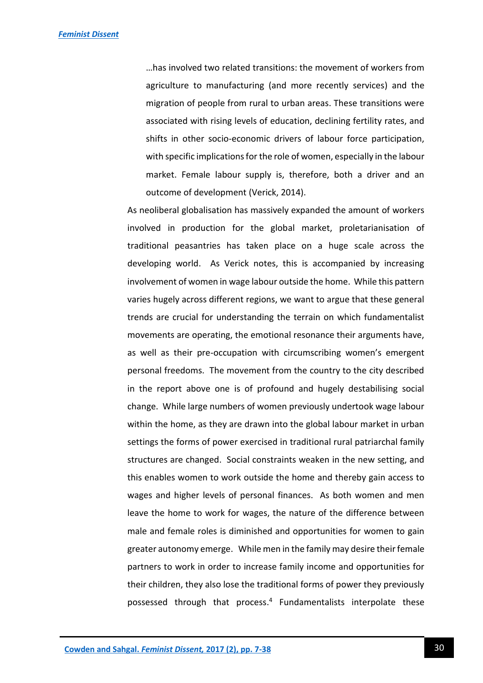…has involved two related transitions: the movement of workers from agriculture to manufacturing (and more recently services) and the migration of people from rural to urban areas. These transitions were associated with rising levels of education, declining fertility rates, and shifts in other socio-economic drivers of labour force participation, with specific implications for the role of women, especially in the labour market. Female labour supply is, therefore, both a driver and an outcome of development (Verick, 2014).

As neoliberal globalisation has massively expanded the amount of workers involved in production for the global market, proletarianisation of traditional peasantries has taken place on a huge scale across the developing world. As Verick notes, this is accompanied by increasing involvement of women in wage labour outside the home. While this pattern varies hugely across different regions, we want to argue that these general trends are crucial for understanding the terrain on which fundamentalist movements are operating, the emotional resonance their arguments have, as well as their pre-occupation with circumscribing women's emergent personal freedoms. The movement from the country to the city described in the report above one is of profound and hugely destabilising social change. While large numbers of women previously undertook wage labour within the home, as they are drawn into the global labour market in urban settings the forms of power exercised in traditional rural patriarchal family structures are changed. Social constraints weaken in the new setting, and this enables women to work outside the home and thereby gain access to wages and higher levels of personal finances. As both women and men leave the home to work for wages, the nature of the difference between male and female roles is diminished and opportunities for women to gain greater autonomy emerge. While men in the family may desire their female partners to work in order to increase family income and opportunities for their children, they also lose the traditional forms of power they previously possessed through that process. <sup>4</sup> Fundamentalists interpolate these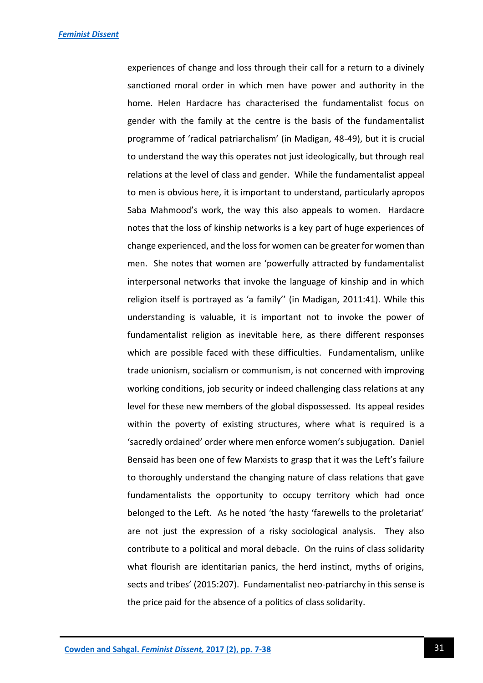experiences of change and loss through their call for a return to a divinely sanctioned moral order in which men have power and authority in the home. Helen Hardacre has characterised the fundamentalist focus on gender with the family at the centre is the basis of the fundamentalist programme of 'radical patriarchalism' (in Madigan, 48-49), but it is crucial to understand the way this operates not just ideologically, but through real relations at the level of class and gender. While the fundamentalist appeal to men is obvious here, it is important to understand, particularly apropos Saba Mahmood's work, the way this also appeals to women. Hardacre notes that the loss of kinship networks is a key part of huge experiences of change experienced, and the loss for women can be greater for women than men. She notes that women are 'powerfully attracted by fundamentalist interpersonal networks that invoke the language of kinship and in which religion itself is portrayed as 'a family'' (in Madigan, 2011:41). While this understanding is valuable, it is important not to invoke the power of fundamentalist religion as inevitable here, as there different responses which are possible faced with these difficulties. Fundamentalism, unlike trade unionism, socialism or communism, is not concerned with improving working conditions, job security or indeed challenging class relations at any level for these new members of the global dispossessed. Its appeal resides within the poverty of existing structures, where what is required is a 'sacredly ordained' order where men enforce women's subjugation. Daniel Bensaid has been one of few Marxists to grasp that it was the Left's failure to thoroughly understand the changing nature of class relations that gave fundamentalists the opportunity to occupy territory which had once belonged to the Left. As he noted 'the hasty 'farewells to the proletariat' are not just the expression of a risky sociological analysis. They also contribute to a political and moral debacle. On the ruins of class solidarity what flourish are identitarian panics, the herd instinct, myths of origins, sects and tribes' (2015:207). Fundamentalist neo-patriarchy in this sense is the price paid for the absence of a politics of class solidarity.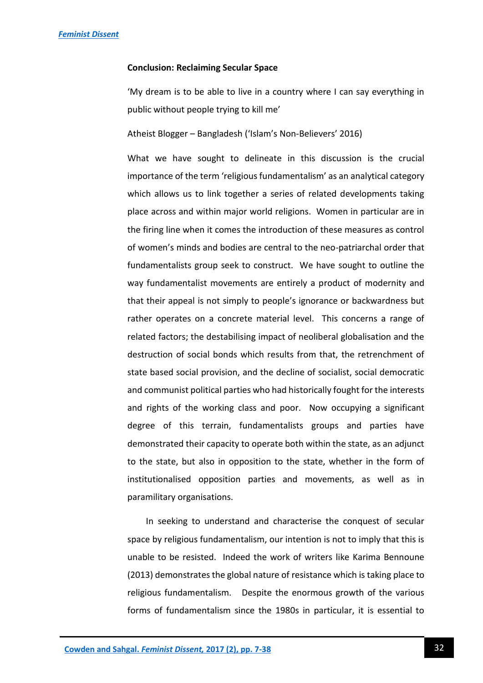#### **Conclusion: Reclaiming Secular Space**

'My dream is to be able to live in a country where I can say everything in public without people trying to kill me'

Atheist Blogger – Bangladesh ('Islam's Non-Believers' 2016)

What we have sought to delineate in this discussion is the crucial importance of the term 'religious fundamentalism' as an analytical category which allows us to link together a series of related developments taking place across and within major world religions. Women in particular are in the firing line when it comes the introduction of these measures as control of women's minds and bodies are central to the neo-patriarchal order that fundamentalists group seek to construct. We have sought to outline the way fundamentalist movements are entirely a product of modernity and that their appeal is not simply to people's ignorance or backwardness but rather operates on a concrete material level. This concerns a range of related factors; the destabilising impact of neoliberal globalisation and the destruction of social bonds which results from that, the retrenchment of state based social provision, and the decline of socialist, social democratic and communist political parties who had historically fought for the interests and rights of the working class and poor. Now occupying a significant degree of this terrain, fundamentalists groups and parties have demonstrated their capacity to operate both within the state, as an adjunct to the state, but also in opposition to the state, whether in the form of institutionalised opposition parties and movements, as well as in paramilitary organisations.

In seeking to understand and characterise the conquest of secular space by religious fundamentalism, our intention is not to imply that this is unable to be resisted. Indeed the work of writers like Karima Bennoune (2013) demonstrates the global nature of resistance which is taking place to religious fundamentalism. Despite the enormous growth of the various forms of fundamentalism since the 1980s in particular, it is essential to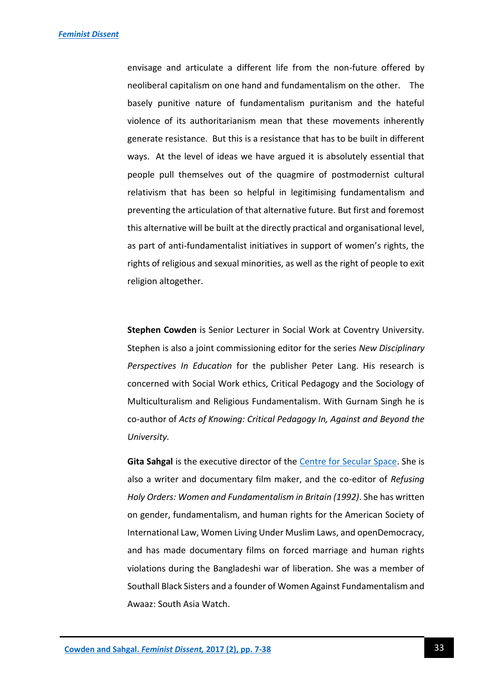envisage and articulate a different life from the non-future offered by neoliberal capitalism on one hand and fundamentalism on the other. The basely punitive nature of fundamentalism puritanism and the hateful violence of its authoritarianism mean that these movements inherently generate resistance. But this is a resistance that has to be built in different ways. At the level of ideas we have argued it is absolutely essential that people pull themselves out of the quagmire of postmodernist cultural relativism that has been so helpful in legitimising fundamentalism and preventing the articulation of that alternative future. But first and foremost this alternative will be built at the directly practical and organisational level, as part of anti-fundamentalist initiatives in support of women's rights, the rights of religious and sexual minorities, as well as the right of people to exit religion altogether.

**Stephen Cowden** is Senior Lecturer in Social Work at Coventry University. Stephen is also a joint commissioning editor for the series *New Disciplinary Perspectives In Education* for the publisher Peter Lang. His research is concerned with Social Work ethics, Critical Pedagogy and the Sociology of Multiculturalism and Religious Fundamentalism. With Gurnam Singh he is co-author of *Acts of Knowing: Critical Pedagogy In, Against and Beyond the University.*

**Gita Sahgal** is the executive director of the [Centre for Secular Space.](http://www.centreforsecularspace.org/) She is also a writer and documentary film maker, and the co-editor of *Refusing Holy Orders: Women and Fundamentalism in Britain (1992)*. She has written on gender, fundamentalism, and human rights for the American Society of International Law, Women Living Under Muslim Laws, and openDemocracy, and has made documentary films on forced marriage and human rights violations during the Bangladeshi war of liberation. She was a member of Southall Black Sisters and a founder of Women Against Fundamentalism and Awaaz: South Asia Watch.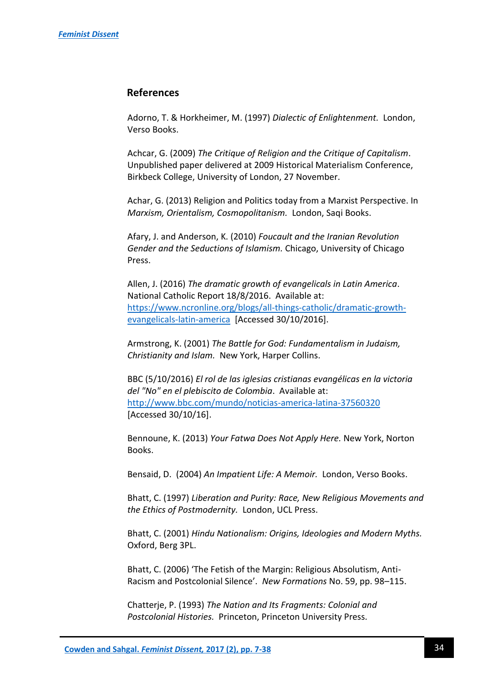## **References**

Adorno, T. & Horkheimer, M. (1997) *Dialectic of Enlightenment.* London, Verso Books.

Achcar, G. (2009) *The Critique of Religion and the Critique of Capitalism*. Unpublished paper delivered at 2009 Historical Materialism Conference, Birkbeck College, University of London, 27 November.

Achar, G. (2013) Religion and Politics today from a Marxist Perspective. In *Marxism, Orientalism, Cosmopolitanism.* London, Saqi Books.

Afary, J. and Anderson, K. (2010) *Foucault and the Iranian Revolution Gender and the Seductions of Islamism.* Chicago, University of Chicago Press.

Allen, J. (2016) *The dramatic growth of evangelicals in Latin America*. National Catholic Report 18/8/2016. Available at: [https://www.ncronline.org/blogs/all-things-catholic/dramatic-growth](https://www.ncronline.org/blogs/all-things-catholic/dramatic-growth-evangelicals-latin-america)[evangelicals-latin-america](https://www.ncronline.org/blogs/all-things-catholic/dramatic-growth-evangelicals-latin-america) [Accessed 30/10/2016].

Armstrong, K. (2001) *The Battle for God: Fundamentalism in Judaism, Christianity and Islam.* New York, Harper Collins.

BBC (5/10/2016) *El rol de las iglesias cristianas evangélicas en la victoria del "No" en el plebiscito de Colombia*. Available at: <http://www.bbc.com/mundo/noticias-america-latina-37560320> [Accessed 30/10/16].

Bennoune, K. (2013) *Your Fatwa Does Not Apply Here.* New York, Norton Books.

Bensaid, D. (2004) *An Impatient Life: A Memoir.* London, Verso Books.

Bhatt, C. (1997) *Liberation and Purity: Race, New Religious Movements and the Ethics of Postmodernity.* London, UCL Press.

Bhatt, C. (2001) *Hindu Nationalism: Origins, Ideologies and Modern Myths.* Oxford, Berg 3PL.

Bhatt, C. (2006) 'The Fetish of the Margin: Religious Absolutism, Anti-Racism and Postcolonial Silence'. *New Formations* No. 59, pp. 98–115.

Chatterje, P. (1993) *The Nation and Its Fragments: Colonial and Postcolonial Histories.* Princeton, Princeton University Press.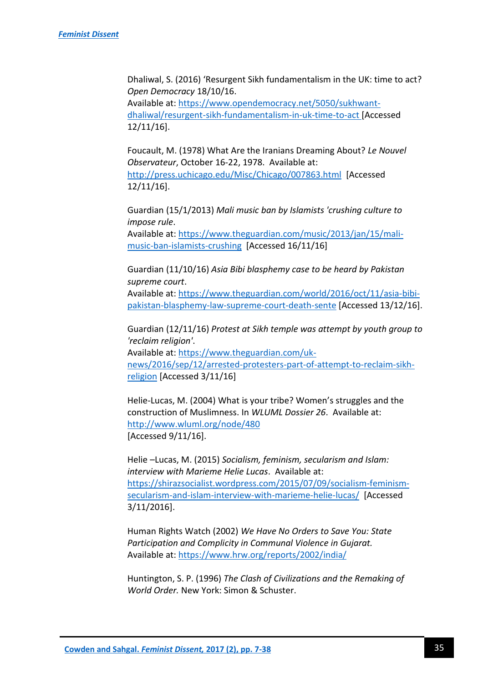Dhaliwal, S. (2016) 'Resurgent Sikh fundamentalism in the UK: time to act? *Open Democracy* 18/10/16.

Available at: [https://www.opendemocracy.net/5050/sukhwant](https://www.opendemocracy.net/5050/sukhwant-dhaliwal/resurgent-sikh-fundamentalism-in-uk-time-to-act)[dhaliwal/resurgent-sikh-fundamentalism-in-uk-time-to-act](https://www.opendemocracy.net/5050/sukhwant-dhaliwal/resurgent-sikh-fundamentalism-in-uk-time-to-act) [Accessed 12/11/16].

Foucault, M. (1978) What Are the Iranians Dreaming About? *Le Nouvel Observateur*, October 16-22, 1978. Available at: <http://press.uchicago.edu/Misc/Chicago/007863.html>[Accessed 12/11/16].

Guardian (15/1/2013) *Mali music ban by Islamists 'crushing culture to impose rule*.

Available at: [https://www.theguardian.com/music/2013/jan/15/mali](https://www.theguardian.com/music/2013/jan/15/mali-music-ban-islamists-crushing)[music-ban-islamists-crushing](https://www.theguardian.com/music/2013/jan/15/mali-music-ban-islamists-crushing) [Accessed 16/11/16]

Guardian (11/10/16) *Asia Bibi blasphemy case to be heard by Pakistan supreme court*.

Available at: [https://www.theguardian.com/world/2016/oct/11/asia-bibi](https://www.theguardian.com/world/2016/oct/11/asia-bibi-pakistan-blasphemy-law-supreme-court-death-sente)[pakistan-blasphemy-law-supreme-court-death-sente](https://www.theguardian.com/world/2016/oct/11/asia-bibi-pakistan-blasphemy-law-supreme-court-death-sente) [Accessed 13/12/16].

Guardian (12/11/16) *Protest at Sikh temple was attempt by youth group to 'reclaim religion'*.

Available at: [https://www.theguardian.com/uk-](https://www.theguardian.com/uk-news/2016/sep/12/arrested-protesters-part-of-attempt-to-reclaim-sikh-religion)

[news/2016/sep/12/arrested-protesters-part-of-attempt-to-reclaim-sikh](https://www.theguardian.com/uk-news/2016/sep/12/arrested-protesters-part-of-attempt-to-reclaim-sikh-religion)[religion](https://www.theguardian.com/uk-news/2016/sep/12/arrested-protesters-part-of-attempt-to-reclaim-sikh-religion) [Accessed 3/11/16]

Helie-Lucas, M. (2004) What is your tribe? Women's struggles and the construction of Muslimness. In *WLUML Dossier 26*. Available at: <http://www.wluml.org/node/480> [Accessed 9/11/16].

Helie –Lucas, M. (2015) *Socialism, feminism, secularism and Islam: interview with Marieme Helie Lucas*. Available at: [https://shirazsocialist.wordpress.com/2015/07/09/socialism-feminism](https://shirazsocialist.wordpress.com/2015/07/09/socialism-feminism-secularism-and-islam-interview-with-marieme-helie-lucas/)[secularism-and-islam-interview-with-marieme-helie-lucas/](https://shirazsocialist.wordpress.com/2015/07/09/socialism-feminism-secularism-and-islam-interview-with-marieme-helie-lucas/) [Accessed 3/11/2016].

Human Rights Watch (2002) *We Have No Orders to Save You: State Participation and Complicity in Communal Violence in Gujarat.* Available at:<https://www.hrw.org/reports/2002/india/>

Huntington, S. P. (1996) *The Clash of Civilizations and the Remaking of World Order.* New York: Simon & Schuster.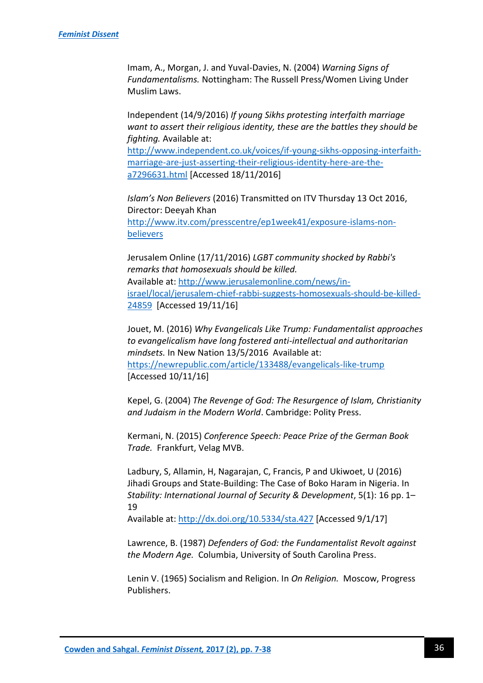Imam, A., Morgan, J. and Yuval-Davies, N. (2004) *Warning Signs of Fundamentalisms.* Nottingham: The Russell Press/Women Living Under Muslim Laws.

Independent (14/9/2016) *If young Sikhs protesting interfaith marriage want to assert their religious identity, these are the battles they should be fighting.* Available at: [http://www.independent.co.uk/voices/if-young-sikhs-opposing-interfaith](http://www.independent.co.uk/voices/if-young-sikhs-opposing-interfaith-marriage-are-just-asserting-their-religious-identity-here-are-the-a7296631.html)[marriage-are-just-asserting-their-religious-identity-here-are-the](http://www.independent.co.uk/voices/if-young-sikhs-opposing-interfaith-marriage-are-just-asserting-their-religious-identity-here-are-the-a7296631.html)[a7296631.html](http://www.independent.co.uk/voices/if-young-sikhs-opposing-interfaith-marriage-are-just-asserting-their-religious-identity-here-are-the-a7296631.html) [Accessed 18/11/2016]

*Islam's Non Believers* (2016) Transmitted on ITV Thursday 13 Oct 2016, Director: Deeyah Khan [http://www.itv.com/presscentre/ep1week41/exposure-islams-non](http://www.itv.com/presscentre/ep1week41/exposure-islams-non-believers)[believers](http://www.itv.com/presscentre/ep1week41/exposure-islams-non-believers)

Jerusalem Online (17/11/2016) *LGBT community shocked by Rabbi's remarks that homosexuals should be killed.* Available at: [http://www.jerusalemonline.com/news/in](http://www.jerusalemonline.com/news/in-israel/local/jerusalem-chief-rabbi-suggests-homosexuals-should-be-killed-24859)[israel/local/jerusalem-chief-rabbi-suggests-homosexuals-should-be-killed-](http://www.jerusalemonline.com/news/in-israel/local/jerusalem-chief-rabbi-suggests-homosexuals-should-be-killed-24859)[24859](http://www.jerusalemonline.com/news/in-israel/local/jerusalem-chief-rabbi-suggests-homosexuals-should-be-killed-24859) [Accessed 19/11/16]

Jouet, M. (2016) *Why Evangelicals Like Trump: Fundamentalist approaches to evangelicalism have long fostered anti-intellectual and authoritarian mindsets.* In New Nation 13/5/2016 Available at: <https://newrepublic.com/article/133488/evangelicals-like-trump> [Accessed 10/11/16]

Kepel, G. (2004) *The Revenge of God: The Resurgence of Islam, Christianity and Judaism in the Modern World*. Cambridge: Polity Press.

Kermani, N. (2015) *Conference Speech: Peace Prize of the German Book Trade.* Frankfurt, Velag MVB.

Ladbury, S, Allamin, H, Nagarajan, C, Francis, P and Ukiwoet, U (2016) Jihadi Groups and State-Building: The Case of Boko Haram in Nigeria. In *Stability: International Journal of Security & Development*, 5(1): 16 pp. 1– 19

Available at:<http://dx.doi.org/10.5334/sta.427> [Accessed 9/1/17]

Lawrence, B. (1987) *Defenders of God: the Fundamentalist Revolt against the Modern Age.* Columbia, University of South Carolina Press.

Lenin V. (1965) Socialism and Religion. In *On Religion.* Moscow, Progress Publishers.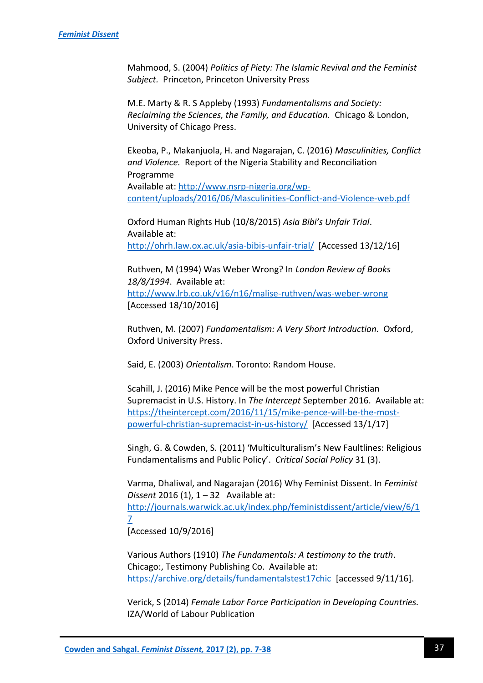Mahmood, S. (2004) *Politics of Piety: The Islamic Revival and the Feminist Subject.* Princeton, Princeton University Press

M.E. Marty & R. S Appleby (1993) *Fundamentalisms and Society: Reclaiming the Sciences, the Family, and Education.* Chicago & London, University of Chicago Press.

Ekeoba, P., Makanjuola, H. and Nagarajan, C. (2016) *Masculinities, Conflict and Violence.* Report of the Nigeria Stability and Reconciliation Programme Available at: [http://www.nsrp-nigeria.org/wp](http://www.nsrp-nigeria.org/wp-content/uploads/2016/06/Masculinities-Conflict-and-Violence-web.pdf)[content/uploads/2016/06/Masculinities-Conflict-and-Violence-web.pdf](http://www.nsrp-nigeria.org/wp-content/uploads/2016/06/Masculinities-Conflict-and-Violence-web.pdf)

Oxford Human Rights Hub (10/8/2015) *Asia Bibi's Unfair Trial*. Available at: <http://ohrh.law.ox.ac.uk/asia-bibis-unfair-trial/>[Accessed 13/12/16]

Ruthven, M (1994) Was Weber Wrong? In *London Review of Books 18/8/1994*. Available at: <http://www.lrb.co.uk/v16/n16/malise-ruthven/was-weber-wrong> [Accessed 18/10/2016]

Ruthven, M. (2007) *Fundamentalism: A Very Short Introduction.* Oxford, Oxford University Press.

Said, E. (2003) *Orientalism*. Toronto: Random House.

Scahill, J. (2016) Mike Pence will be the most powerful Christian Supremacist in U.S. History. In *The Intercept* September 2016. Available at: [https://theintercept.com/2016/11/15/mike-pence-will-be-the-most](https://theintercept.com/2016/11/15/mike-pence-will-be-the-most-powerful-christian-supremacist-in-us-history/)[powerful-christian-supremacist-in-us-history/](https://theintercept.com/2016/11/15/mike-pence-will-be-the-most-powerful-christian-supremacist-in-us-history/) [Accessed 13/1/17]

Singh, G. & Cowden, S. (2011) 'Multiculturalism's New Faultlines: Religious Fundamentalisms and Public Policy'. *Critical Social Policy* 31 (3).

Varma, Dhaliwal, and Nagarajan (2016) Why Feminist Dissent. In *Feminist Dissent* 2016 (1), 1 – 32 Available at: [http://journals.warwick.ac.uk/index.php/feministdissent/article/view/6/1](http://journals.warwick.ac.uk/index.php/feministdissent/article/view/6/17) [7](http://journals.warwick.ac.uk/index.php/feministdissent/article/view/6/17) [Accessed 10/9/2016]

Various Authors (1910) *The Fundamentals: A testimony to the truth*. Chicago:, Testimony Publishing Co. Available at: <https://archive.org/details/fundamentalstest17chic>[accessed 9/11/16].

Verick, S (2014) *Female Labor Force Participation in Developing Countries.* IZA/World of Labour Publication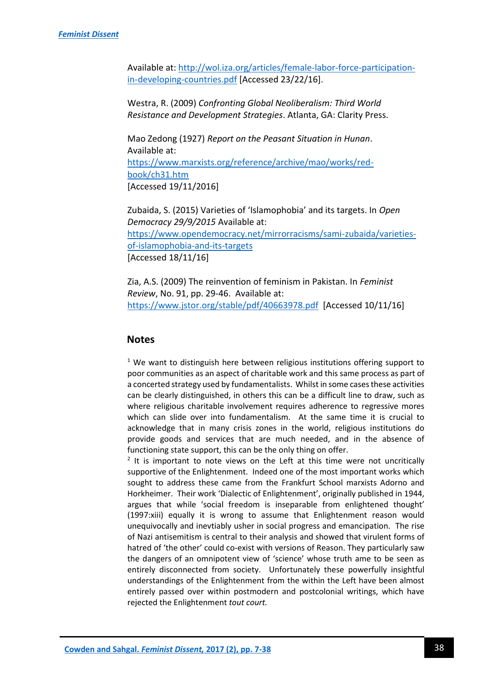Available at: [http://wol.iza.org/articles/female-labor-force-participation](http://wol.iza.org/articles/female-labor-force-participation-in-developing-countries.pdf)[in-developing-countries.pdf](http://wol.iza.org/articles/female-labor-force-participation-in-developing-countries.pdf) [Accessed 23/22/16].

Westra, R. (2009) *Confronting Global Neoliberalism: Third World Resistance and Development Strategies*. Atlanta, GA: Clarity Press.

Mao Zedong (1927) *Report on the Peasant Situation in Hunan*. Available at: [https://www.marxists.org/reference/archive/mao/works/red](https://www.marxists.org/reference/archive/mao/works/red-book/ch31.htm)[book/ch31.htm](https://www.marxists.org/reference/archive/mao/works/red-book/ch31.htm) [Accessed 19/11/2016]

Zubaida, S. (2015) Varieties of 'Islamophobia' and its targets. In *Open Democracy 29/9/2015* Available at: [https://www.opendemocracy.net/mirrorracisms/sami-zubaida/varieties](https://www.opendemocracy.net/mirrorracisms/sami-zubaida/varieties-of-islamophobia-and-its-targets)[of-islamophobia-and-its-targets](https://www.opendemocracy.net/mirrorracisms/sami-zubaida/varieties-of-islamophobia-and-its-targets) [Accessed 18/11/16]

Zia, A.S. (2009) The reinvention of feminism in Pakistan. In *Feminist Review*, No. 91, pp. 29-46. Available at: <https://www.jstor.org/stable/pdf/40663978.pdf>[Accessed 10/11/16]

## **Notes**

 $1$  We want to distinguish here between religious institutions offering support to poor communities as an aspect of charitable work and this same process as part of a concerted strategy used by fundamentalists. Whilst in some cases these activities can be clearly distinguished, in others this can be a difficult line to draw, such as where religious charitable involvement requires adherence to regressive mores which can slide over into fundamentalism. At the same time it is crucial to acknowledge that in many crisis zones in the world, religious institutions do provide goods and services that are much needed, and in the absence of functioning state support, this can be the only thing on offer.

 $2$  It is important to note views on the Left at this time were not uncritically supportive of the Enlightenment. Indeed one of the most important works which sought to address these came from the Frankfurt School marxists Adorno and Horkheimer. Their work 'Dialectic of Enlightenment', originally published in 1944, argues that while 'social freedom is inseparable from enlightened thought' (1997:xiii) equally it is wrong to assume that Enlightenment reason would unequivocally and inevtiably usher in social progress and emancipation. The rise of Nazi antisemitism is central to their analysis and showed that virulent forms of hatred of 'the other' could co-exist with versions of Reason. They particularly saw the dangers of an omnipotent view of 'science' whose truth ame to be seen as entirely disconnected from society. Unfortunately these powerfully insightful understandings of the Enlightenment from the within the Left have been almost entirely passed over within postmodern and postcolonial writings, which have rejected the Enlightenment *tout court.*